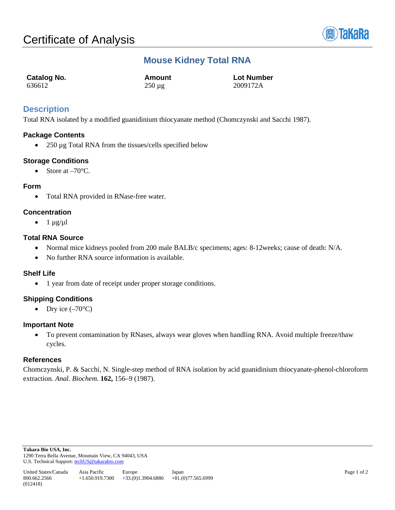

# **Mouse Kidney Total RNA**

| Catalog No. | Amount      | <b>Lot Number</b> |
|-------------|-------------|-------------------|
| 636612      | $250 \mu g$ | 2009172A          |

## **Description**

Total RNA isolated by a modified guanidinium thiocyanate method (Chomczynski and Sacchi 1987).

## **Package Contents**

• 250 µg Total RNA from the tissues/cells specified below

## **Storage Conditions**

• Store at  $-70^{\circ}$ C.

#### **Form**

• Total RNA provided in RNase-free water.

## **Concentration**

 $\bullet$  1  $\mu$ g/ $\mu$ l

## **Total RNA Source**

- Normal mice kidneys pooled from 200 male BALB/c specimens; ages: 8-12weeks; cause of death: N/A.
- No further RNA source information is available.

#### **Shelf Life**

• 1 year from date of receipt under proper storage conditions.

## **Shipping Conditions**

• Dry ice  $(-70^{\circ}C)$ 

#### **Important Note**

• To prevent contamination by RNases, always wear gloves when handling RNA. Avoid multiple freeze/thaw cycles.

#### **References**

Chomczynski, P. & Sacchi, N. Single-step method of RNA isolation by acid guanidinium thiocyanate-phenol-chloroform extraction. *Anal. Biochem.* **162,** 156–9 (1987).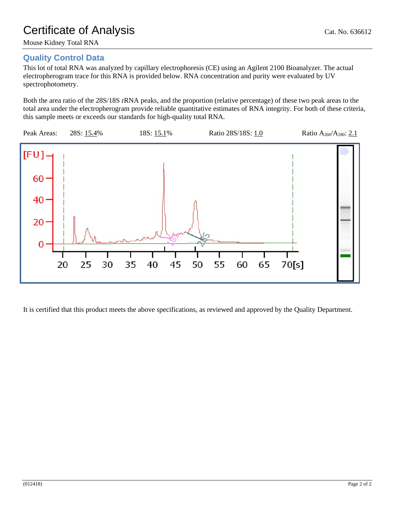## **Quality Control Data**

This lot of total RNA was analyzed by capillary electrophoresis (CE) using an Agilent 2100 Bioanalyzer. The actual electropherogram trace for this RNA is provided below. RNA concentration and purity were evaluated by UV spectrophotometry.

Both the area ratio of the 28S/18S rRNA peaks, and the proportion (relative percentage) of these two peak areas to the total area under the electropherogram provide reliable quantitative estimates of RNA integrity. For both of these criteria, this sample meets or exceeds our standards for high-quality total RNA.



It is certified that this product meets the above specifications, as reviewed and approved by the Quality Department.